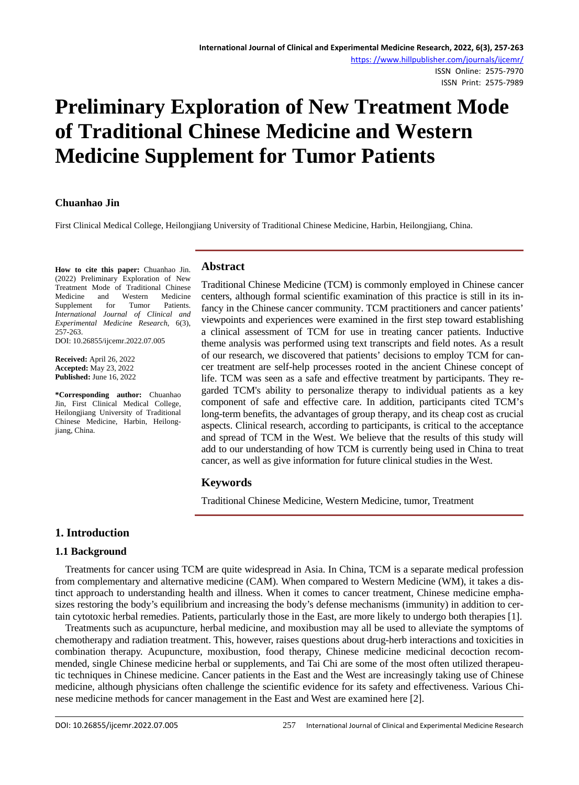# **Preliminary Exploration of New Treatment Mode of Traditional Chinese Medicine and Western Medicine Supplement for Tumor Patients**

# **Chuanhao Jin**

First Clinical Medical College, Heilongjiang University of Traditional Chinese Medicine, Harbin, Heilongjiang, China.

**How to cite this paper:** Chuanhao Jin. (2022) Preliminary Exploration of New Treatment Mode of Traditional Chinese Medicine and Western Medicine Supplement for Tumor Patients. *International Journal of Clinical and Experimental Medicine Research*, 6(3), 257-263.

DOI: 10.26855/ijcemr.2022.07.005

**Received:** April 26, 2022 **Accepted:** May 23, 2022 **Published:** June 16, 2022

**\*Corresponding author:** Chuanhao Jin, First Clinical Medical College, Heilongjiang University of Traditional Chinese Medicine, Harbin, Heilongjiang, China.

# **Abstract**

Traditional Chinese Medicine (TCM) is commonly employed in Chinese cancer centers, although formal scientific examination of this practice is still in its infancy in the Chinese cancer community. TCM practitioners and cancer patients' viewpoints and experiences were examined in the first step toward establishing a clinical assessment of TCM for use in treating cancer patients. Inductive theme analysis was performed using text transcripts and field notes. As a result of our research, we discovered that patients' decisions to employ TCM for cancer treatment are self-help processes rooted in the ancient Chinese concept of life. TCM was seen as a safe and effective treatment by participants. They regarded TCM's ability to personalize therapy to individual patients as a key component of safe and effective care. In addition, participants cited TCM's long-term benefits, the advantages of group therapy, and its cheap cost as crucial aspects. Clinical research, according to participants, is critical to the acceptance and spread of TCM in the West. We believe that the results of this study will add to our understanding of how TCM is currently being used in China to treat cancer, as well as give information for future clinical studies in the West.

# **Keywords**

Traditional Chinese Medicine, Western Medicine, tumor, Treatment

# **1. Introduction**

# **1.1 Background**

Treatments for cancer using TCM are quite widespread in Asia. In China, TCM is a separate medical profession from complementary and alternative medicine (CAM). When compared to Western Medicine (WM), it takes a distinct approach to understanding health and illness. When it comes to cancer treatment, Chinese medicine emphasizes restoring the body's equilibrium and increasing the body's defense mechanisms (immunity) in addition to certain cytotoxic herbal remedies. Patients, particularly those in the East, are more likely to undergo both therapies [1].

Treatments such as acupuncture, herbal medicine, and moxibustion may all be used to alleviate the symptoms of chemotherapy and radiation treatment. This, however, raises questions about drug-herb interactions and toxicities in combination therapy. Acupuncture, moxibustion, food therapy, Chinese medicine medicinal decoction recommended, single Chinese medicine herbal or supplements, and Tai Chi are some of the most often utilized therapeutic techniques in Chinese medicine. Cancer patients in the East and the West are increasingly taking use of Chinese medicine, although physicians often challenge the scientific evidence for its safety and effectiveness. Various Chinese medicine methods for cancer management in the East and West are examined here [2].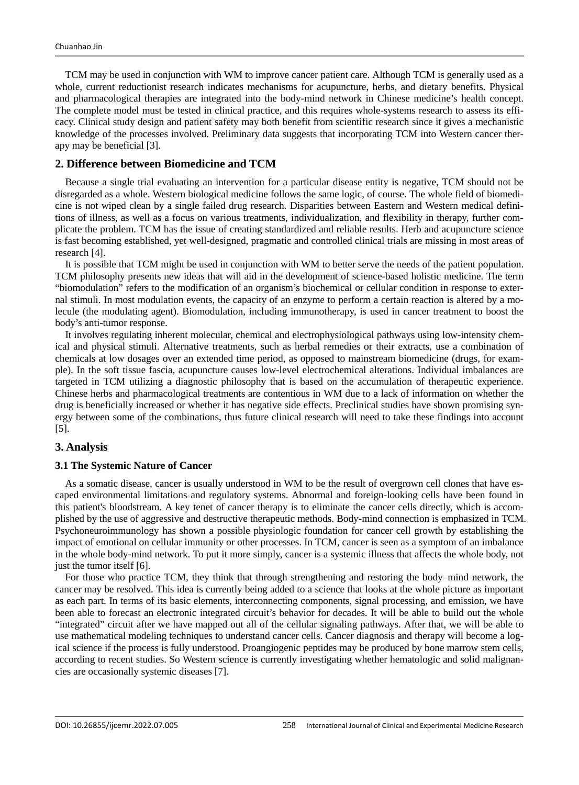TCM may be used in conjunction with WM to improve cancer patient care. Although TCM is generally used as a whole, current reductionist research indicates mechanisms for acupuncture, herbs, and dietary benefits. Physical and pharmacological therapies are integrated into the body-mind network in Chinese medicine's health concept. The complete model must be tested in clinical practice, and this requires whole-systems research to assess its efficacy. Clinical study design and patient safety may both benefit from scientific research since it gives a mechanistic knowledge of the processes involved. Preliminary data suggests that incorporating TCM into Western cancer therapy may be beneficial [3].

# **2. Difference between Biomedicine and TCM**

Because a single trial evaluating an intervention for a particular disease entity is negative, TCM should not be disregarded as a whole. Western biological medicine follows the same logic, of course. The whole field of biomedicine is not wiped clean by a single failed drug research. Disparities between Eastern and Western medical definitions of illness, as well as a focus on various treatments, individualization, and flexibility in therapy, further complicate the problem. TCM has the issue of creating standardized and reliable results. Herb and acupuncture science is fast becoming established, yet well-designed, pragmatic and controlled clinical trials are missing in most areas of research [4].

It is possible that TCM might be used in conjunction with WM to better serve the needs of the patient population. TCM philosophy presents new ideas that will aid in the development of science-based holistic medicine. The term "biomodulation" refers to the modification of an organism's biochemical or cellular condition in response to external stimuli. In most modulation events, the capacity of an enzyme to perform a certain reaction is altered by a molecule (the modulating agent). Biomodulation, including immunotherapy, is used in cancer treatment to boost the body's anti-tumor response.

It involves regulating inherent molecular, chemical and electrophysiological pathways using low-intensity chemical and physical stimuli. Alternative treatments, such as herbal remedies or their extracts, use a combination of chemicals at low dosages over an extended time period, as opposed to mainstream biomedicine (drugs, for example). In the soft tissue fascia, acupuncture causes low-level electrochemical alterations. Individual imbalances are targeted in TCM utilizing a diagnostic philosophy that is based on the accumulation of therapeutic experience. Chinese herbs and pharmacological treatments are contentious in WM due to a lack of information on whether the drug is beneficially increased or whether it has negative side effects. Preclinical studies have shown promising synergy between some of the combinations, thus future clinical research will need to take these findings into account [5].

# **3. Analysis**

### **3.1 The Systemic Nature of Cancer**

As a somatic disease, cancer is usually understood in WM to be the result of overgrown cell clones that have escaped environmental limitations and regulatory systems. Abnormal and foreign-looking cells have been found in this patient's bloodstream. A key tenet of cancer therapy is to eliminate the cancer cells directly, which is accomplished by the use of aggressive and destructive therapeutic methods. Body-mind connection is emphasized in TCM. Psychoneuroimmunology has shown a possible physiologic foundation for cancer cell growth by establishing the impact of emotional on cellular immunity or other processes. In TCM, cancer is seen as a symptom of an imbalance in the whole body-mind network. To put it more simply, cancer is a systemic illness that affects the whole body, not just the tumor itself [6].

For those who practice TCM, they think that through strengthening and restoring the body–mind network, the cancer may be resolved. This idea is currently being added to a science that looks at the whole picture as important as each part. In terms of its basic elements, interconnecting components, signal processing, and emission, we have been able to forecast an electronic integrated circuit's behavior for decades. It will be able to build out the whole "integrated" circuit after we have mapped out all of the cellular signaling pathways. After that, we will be able to use mathematical modeling techniques to understand cancer cells. Cancer diagnosis and therapy will become a logical science if the process is fully understood. Proangiogenic peptides may be produced by bone marrow stem cells, according to recent studies. So Western science is currently investigating whether hematologic and solid malignancies are occasionally systemic diseases [7].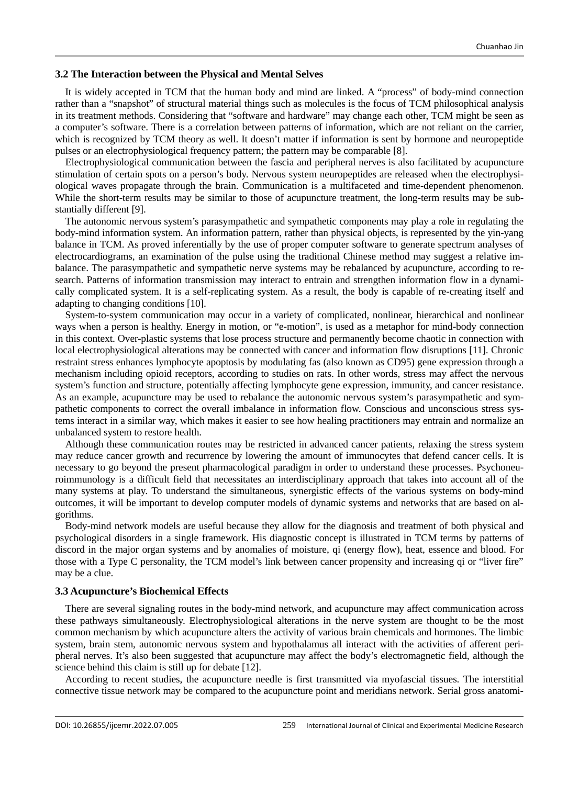### **3.2 The Interaction between the Physical and Mental Selves**

It is widely accepted in TCM that the human body and mind are linked. A "process" of body-mind connection rather than a "snapshot" of structural material things such as molecules is the focus of TCM philosophical analysis in its treatment methods. Considering that "software and hardware" may change each other, TCM might be seen as a computer's software. There is a correlation between patterns of information, which are not reliant on the carrier, which is recognized by TCM theory as well. It doesn't matter if information is sent by hormone and neuropeptide pulses or an electrophysiological frequency pattern; the pattern may be comparable [8].

Electrophysiological communication between the fascia and peripheral nerves is also facilitated by acupuncture stimulation of certain spots on a person's body. Nervous system neuropeptides are released when the electrophysiological waves propagate through the brain. Communication is a multifaceted and time-dependent phenomenon. While the short-term results may be similar to those of acupuncture treatment, the long-term results may be substantially different [9].

The autonomic nervous system's parasympathetic and sympathetic components may play a role in regulating the body-mind information system. An information pattern, rather than physical objects, is represented by the yin-yang balance in TCM. As proved inferentially by the use of proper computer software to generate spectrum analyses of electrocardiograms, an examination of the pulse using the traditional Chinese method may suggest a relative imbalance. The parasympathetic and sympathetic nerve systems may be rebalanced by acupuncture, according to research. Patterns of information transmission may interact to entrain and strengthen information flow in a dynamically complicated system. It is a self-replicating system. As a result, the body is capable of re-creating itself and adapting to changing conditions [10].

System-to-system communication may occur in a variety of complicated, nonlinear, hierarchical and nonlinear ways when a person is healthy. Energy in motion, or "e-motion", is used as a metaphor for mind-body connection in this context. Over-plastic systems that lose process structure and permanently become chaotic in connection with local electrophysiological alterations may be connected with cancer and information flow disruptions [11]. Chronic restraint stress enhances lymphocyte apoptosis by modulating fas (also known as CD95) gene expression through a mechanism including opioid receptors, according to studies on rats. In other words, stress may affect the nervous system's function and structure, potentially affecting lymphocyte gene expression, immunity, and cancer resistance. As an example, acupuncture may be used to rebalance the autonomic nervous system's parasympathetic and sympathetic components to correct the overall imbalance in information flow. Conscious and unconscious stress systems interact in a similar way, which makes it easier to see how healing practitioners may entrain and normalize an unbalanced system to restore health.

Although these communication routes may be restricted in advanced cancer patients, relaxing the stress system may reduce cancer growth and recurrence by lowering the amount of immunocytes that defend cancer cells. It is necessary to go beyond the present pharmacological paradigm in order to understand these processes. Psychoneuroimmunology is a difficult field that necessitates an interdisciplinary approach that takes into account all of the many systems at play. To understand the simultaneous, synergistic effects of the various systems on body-mind outcomes, it will be important to develop computer models of dynamic systems and networks that are based on algorithms.

Body-mind network models are useful because they allow for the diagnosis and treatment of both physical and psychological disorders in a single framework. His diagnostic concept is illustrated in TCM terms by patterns of discord in the major organ systems and by anomalies of moisture, qi (energy flow), heat, essence and blood. For those with a Type C personality, the TCM model's link between cancer propensity and increasing qi or "liver fire" may be a clue.

## **3.3 Acupuncture's Biochemical Effects**

There are several signaling routes in the body-mind network, and acupuncture may affect communication across these pathways simultaneously. Electrophysiological alterations in the nerve system are thought to be the most common mechanism by which acupuncture alters the activity of various brain chemicals and hormones. The limbic system, brain stem, autonomic nervous system and hypothalamus all interact with the activities of afferent peripheral nerves. It's also been suggested that acupuncture may affect the body's electromagnetic field, although the science behind this claim is still up for debate [12].

According to recent studies, the acupuncture needle is first transmitted via myofascial tissues. The interstitial connective tissue network may be compared to the acupuncture point and meridians network. Serial gross anatomi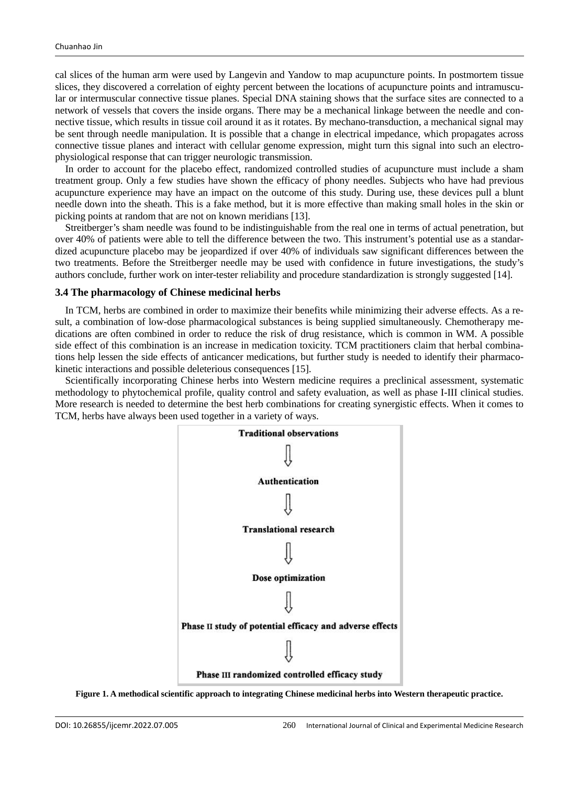cal slices of the human arm were used by Langevin and Yandow to map acupuncture points. In postmortem tissue slices, they discovered a correlation of eighty percent between the locations of acupuncture points and intramuscular or intermuscular connective tissue planes. Special DNA staining shows that the surface sites are connected to a network of vessels that covers the inside organs. There may be a mechanical linkage between the needle and connective tissue, which results in tissue coil around it as it rotates. By mechano-transduction, a mechanical signal may be sent through needle manipulation. It is possible that a change in electrical impedance, which propagates across connective tissue planes and interact with cellular genome expression, might turn this signal into such an electrophysiological response that can trigger neurologic transmission.

In order to account for the placebo effect, randomized controlled studies of acupuncture must include a sham treatment group. Only a few studies have shown the efficacy of phony needles. Subjects who have had previous acupuncture experience may have an impact on the outcome of this study. During use, these devices pull a blunt needle down into the sheath. This is a fake method, but it is more effective than making small holes in the skin or picking points at random that are not on known meridians [13].

Streitberger's sham needle was found to be indistinguishable from the real one in terms of actual penetration, but over 40% of patients were able to tell the difference between the two. This instrument's potential use as a standardized acupuncture placebo may be jeopardized if over 40% of individuals saw significant differences between the two treatments. Before the Streitberger needle may be used with confidence in future investigations, the study's authors conclude, further work on inter-tester reliability and procedure standardization is strongly suggested [14].

#### **3.4 The pharmacology of Chinese medicinal herbs**

In TCM, herbs are combined in order to maximize their benefits while minimizing their adverse effects. As a result, a combination of low-dose pharmacological substances is being supplied simultaneously. Chemotherapy medications are often combined in order to reduce the risk of drug resistance, which is common in WM. A possible side effect of this combination is an increase in medication toxicity. TCM practitioners claim that herbal combinations help lessen the side effects of anticancer medications, but further study is needed to identify their pharmacokinetic interactions and possible deleterious consequences [15].

Scientifically incorporating Chinese herbs into Western medicine requires a preclinical assessment, systematic methodology to phytochemical profile, quality control and safety evaluation, as well as phase I-III clinical studies. More research is needed to determine the best herb combinations for creating synergistic effects. When it comes to TCM, herbs have always been used together in a variety of ways.



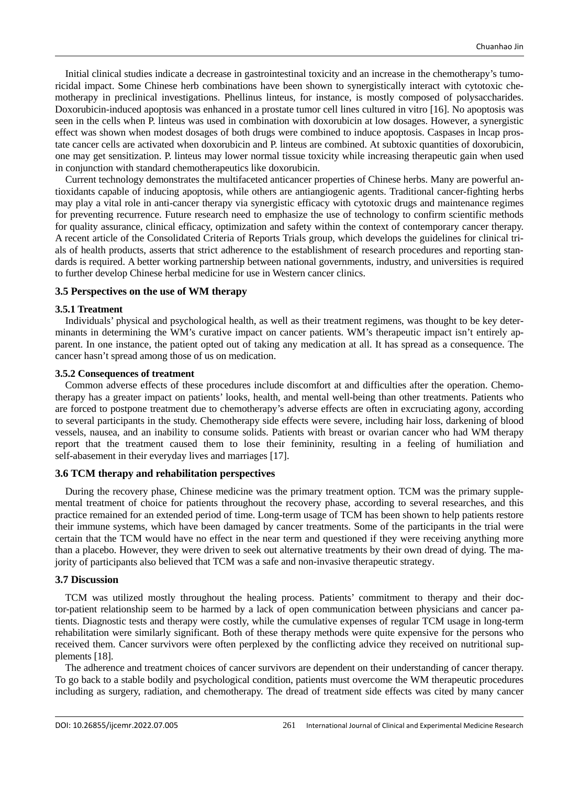Initial clinical studies indicate a decrease in gastrointestinal toxicity and an increase in the chemotherapy's tumoricidal impact. Some Chinese herb combinations have been shown to synergistically interact with cytotoxic chemotherapy in preclinical investigations. Phellinus linteus, for instance, is mostly composed of polysaccharides. Doxorubicin-induced apoptosis was enhanced in a prostate tumor cell lines cultured in vitro [16]. No apoptosis was seen in the cells when P. linteus was used in combination with doxorubicin at low dosages. However, a synergistic effect was shown when modest dosages of both drugs were combined to induce apoptosis. Caspases in lncap prostate cancer cells are activated when doxorubicin and P. linteus are combined. At subtoxic quantities of doxorubicin, one may get sensitization. P. linteus may lower normal tissue toxicity while increasing therapeutic gain when used in conjunction with standard chemotherapeutics like doxorubicin.

Current technology demonstrates the multifaceted anticancer properties of Chinese herbs. Many are powerful antioxidants capable of inducing apoptosis, while others are antiangiogenic agents. Traditional cancer-fighting herbs may play a vital role in anti-cancer therapy via synergistic efficacy with cytotoxic drugs and maintenance regimes for preventing recurrence. Future research need to emphasize the use of technology to confirm scientific methods for quality assurance, clinical efficacy, optimization and safety within the context of contemporary cancer therapy. A recent article of the Consolidated Criteria of Reports Trials group, which develops the guidelines for clinical trials of health products, asserts that strict adherence to the establishment of research procedures and reporting standards is required. A better working partnership between national governments, industry, and universities is required to further develop Chinese herbal medicine for use in Western cancer clinics.

### **3.5 Perspectives on the use of WM therapy**

#### **3.5.1 Treatment**

Individuals' physical and psychological health, as well as their treatment regimens, was thought to be key determinants in determining the WM's curative impact on cancer patients. WM's therapeutic impact isn't entirely apparent. In one instance, the patient opted out of taking any medication at all. It has spread as a consequence. The cancer hasn't spread among those of us on medication.

#### **3.5.2 Consequences of treatment**

Common adverse effects of these procedures include discomfort at and difficulties after the operation. Chemotherapy has a greater impact on patients' looks, health, and mental well-being than other treatments. Patients who are forced to postpone treatment due to chemotherapy's adverse effects are often in excruciating agony, according to several participants in the study. Chemotherapy side effects were severe, including hair loss, darkening of blood vessels, nausea, and an inability to consume solids. Patients with breast or ovarian cancer who had WM therapy report that the treatment caused them to lose their femininity, resulting in a feeling of humiliation and self-abasement in their everyday lives and marriages [17].

#### **3.6 TCM therapy and rehabilitation perspectives**

During the recovery phase, Chinese medicine was the primary treatment option. TCM was the primary supplemental treatment of choice for patients throughout the recovery phase, according to several researches, and this practice remained for an extended period of time. Long-term usage of TCM has been shown to help patients restore their immune systems, which have been damaged by cancer treatments. Some of the participants in the trial were certain that the TCM would have no effect in the near term and questioned if they were receiving anything more than a placebo. However, they were driven to seek out alternative treatments by their own dread of dying. The majority of participants also believed that TCM was a safe and non-invasive therapeutic strategy.

#### **3.7 Discussion**

TCM was utilized mostly throughout the healing process. Patients' commitment to therapy and their doctor-patient relationship seem to be harmed by a lack of open communication between physicians and cancer patients. Diagnostic tests and therapy were costly, while the cumulative expenses of regular TCM usage in long-term rehabilitation were similarly significant. Both of these therapy methods were quite expensive for the persons who received them. Cancer survivors were often perplexed by the conflicting advice they received on nutritional supplements [18].

The adherence and treatment choices of cancer survivors are dependent on their understanding of cancer therapy. To go back to a stable bodily and psychological condition, patients must overcome the WM therapeutic procedures including as surgery, radiation, and chemotherapy. The dread of treatment side effects was cited by many cancer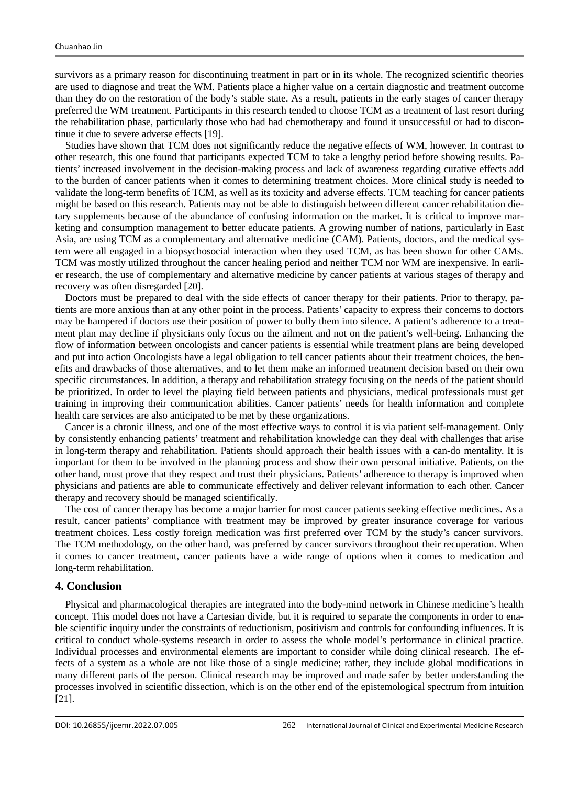survivors as a primary reason for discontinuing treatment in part or in its whole. The recognized scientific theories are used to diagnose and treat the WM. Patients place a higher value on a certain diagnostic and treatment outcome than they do on the restoration of the body's stable state. As a result, patients in the early stages of cancer therapy preferred the WM treatment. Participants in this research tended to choose TCM as a treatment of last resort during the rehabilitation phase, particularly those who had had chemotherapy and found it unsuccessful or had to discontinue it due to severe adverse effects [19].

Studies have shown that TCM does not significantly reduce the negative effects of WM, however. In contrast to other research, this one found that participants expected TCM to take a lengthy period before showing results. Patients' increased involvement in the decision-making process and lack of awareness regarding curative effects add to the burden of cancer patients when it comes to determining treatment choices. More clinical study is needed to validate the long-term benefits of TCM, as well as its toxicity and adverse effects. TCM teaching for cancer patients might be based on this research. Patients may not be able to distinguish between different cancer rehabilitation dietary supplements because of the abundance of confusing information on the market. It is critical to improve marketing and consumption management to better educate patients. A growing number of nations, particularly in East Asia, are using TCM as a complementary and alternative medicine (CAM). Patients, doctors, and the medical system were all engaged in a biopsychosocial interaction when they used TCM, as has been shown for other CAMs. TCM was mostly utilized throughout the cancer healing period and neither TCM nor WM are inexpensive. In earlier research, the use of complementary and alternative medicine by cancer patients at various stages of therapy and recovery was often disregarded [20].

Doctors must be prepared to deal with the side effects of cancer therapy for their patients. Prior to therapy, patients are more anxious than at any other point in the process. Patients' capacity to express their concerns to doctors may be hampered if doctors use their position of power to bully them into silence. A patient's adherence to a treatment plan may decline if physicians only focus on the ailment and not on the patient's well-being. Enhancing the flow of information between oncologists and cancer patients is essential while treatment plans are being developed and put into action Oncologists have a legal obligation to tell cancer patients about their treatment choices, the benefits and drawbacks of those alternatives, and to let them make an informed treatment decision based on their own specific circumstances. In addition, a therapy and rehabilitation strategy focusing on the needs of the patient should be prioritized. In order to level the playing field between patients and physicians, medical professionals must get training in improving their communication abilities. Cancer patients' needs for health information and complete health care services are also anticipated to be met by these organizations.

Cancer is a chronic illness, and one of the most effective ways to control it is via patient self-management. Only by consistently enhancing patients' treatment and rehabilitation knowledge can they deal with challenges that arise in long-term therapy and rehabilitation. Patients should approach their health issues with a can-do mentality. It is important for them to be involved in the planning process and show their own personal initiative. Patients, on the other hand, must prove that they respect and trust their physicians. Patients' adherence to therapy is improved when physicians and patients are able to communicate effectively and deliver relevant information to each other. Cancer therapy and recovery should be managed scientifically.

The cost of cancer therapy has become a major barrier for most cancer patients seeking effective medicines. As a result, cancer patients' compliance with treatment may be improved by greater insurance coverage for various treatment choices. Less costly foreign medication was first preferred over TCM by the study's cancer survivors. The TCM methodology, on the other hand, was preferred by cancer survivors throughout their recuperation. When it comes to cancer treatment, cancer patients have a wide range of options when it comes to medication and long-term rehabilitation.

## **4. Conclusion**

Physical and pharmacological therapies are integrated into the body-mind network in Chinese medicine's health concept. This model does not have a Cartesian divide, but it is required to separate the components in order to enable scientific inquiry under the constraints of reductionism, positivism and controls for confounding influences. It is critical to conduct whole-systems research in order to assess the whole model's performance in clinical practice. Individual processes and environmental elements are important to consider while doing clinical research. The effects of a system as a whole are not like those of a single medicine; rather, they include global modifications in many different parts of the person. Clinical research may be improved and made safer by better understanding the processes involved in scientific dissection, which is on the other end of the epistemological spectrum from intuition [21].